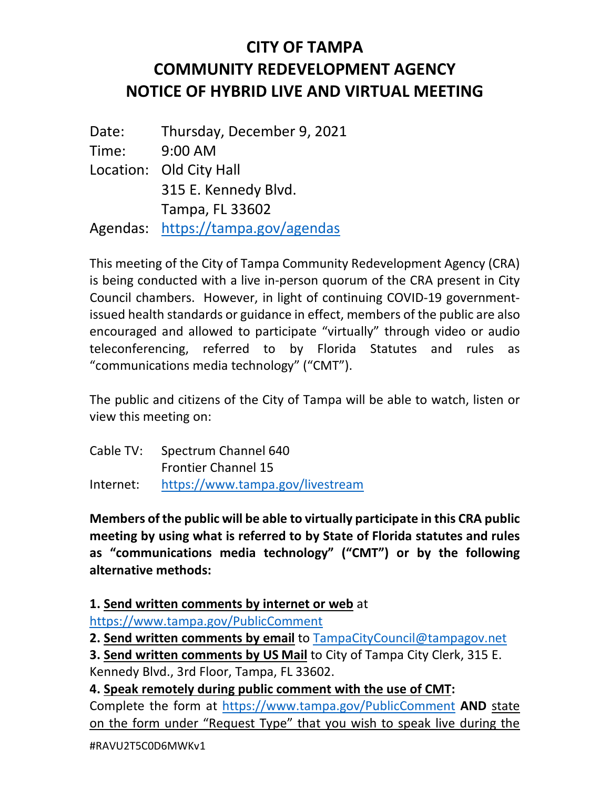## **CITY OF TAMPA COMMUNITY REDEVELOPMENT AGENCY NOTICE OF HYBRID LIVE AND VIRTUAL MEETING**

Date: Thursday, December 9, 2021 Time: 9:00 AM Location: Old City Hall 315 E. Kennedy Blvd. Tampa, FL 33602 Agendas: <https://tampa.gov/agendas>

This meeting of the City of Tampa Community Redevelopment Agency (CRA) is being conducted with a live in-person quorum of the CRA present in City Council chambers. However, in light of continuing COVID-19 governmentissued health standards or guidance in effect, members of the public are also encouraged and allowed to participate "virtually" through video or audio teleconferencing, referred to by Florida Statutes and rules as "communications media technology" ("CMT").

The public and citizens of the City of Tampa will be able to watch, listen or view this meeting on:

| Cable TV: | Spectrum Channel 640             |
|-----------|----------------------------------|
|           | <b>Frontier Channel 15</b>       |
| Internet: | https://www.tampa.gov/livestream |

**Members of the public will be able to virtually participate in this CRA public meeting by using what is referred to by State of Florida statutes and rules as "communications media technology" ("CMT") or by the following alternative methods:**

**1. Send written comments by internet or web** at

<https://www.tampa.gov/PublicComment>

**2. Send written comments by email** to [TampaCityCouncil@tampagov.net](mailto:TampaCityCouncil@tampagov.net)

**3. Send written comments by US Mail** to City of Tampa City Clerk, 315 E. Kennedy Blvd., 3rd Floor, Tampa, FL 33602.

**4. Speak remotely during public comment with the use of CMT:**

Complete the form at <https://www.tampa.gov/PublicComment> **AND** state on the form under "Request Type" that you wish to speak live during the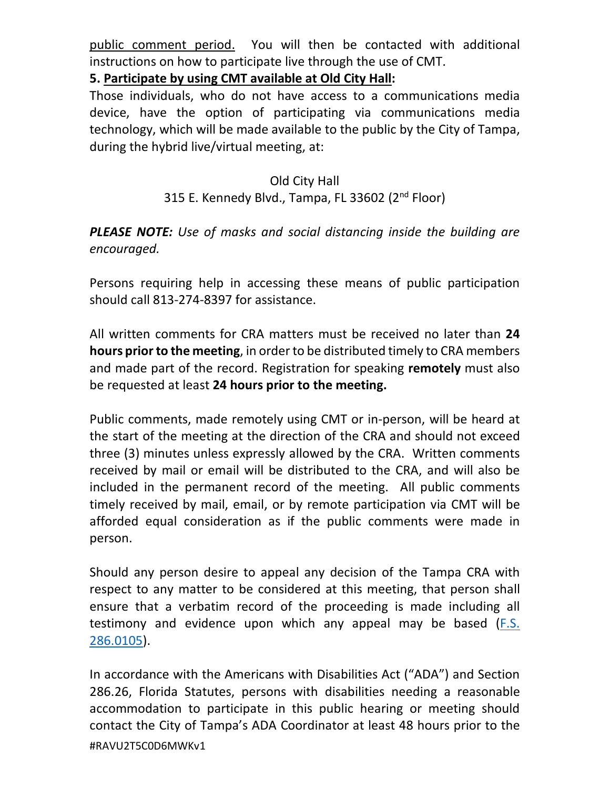public comment period. You will then be contacted with additional instructions on how to participate live through the use of CMT.

**5. Participate by using CMT available at Old City Hall:**

Those individuals, who do not have access to a communications media device, have the option of participating via communications media technology, which will be made available to the public by the City of Tampa, during the hybrid live/virtual meeting, at:

## Old City Hall 315 E. Kennedy Blvd., Tampa, FL 33602 (2<sup>nd</sup> Floor)

## *PLEASE NOTE: Use of masks and social distancing inside the building are encouraged.*

Persons requiring help in accessing these means of public participation should call 813-274-8397 for assistance.

All written comments for CRA matters must be received no later than **24 hours prior to the meeting**, in order to be distributed timely to CRA members and made part of the record. Registration for speaking **remotely** must also be requested at least **24 hours prior to the meeting.**

Public comments, made remotely using CMT or in-person, will be heard at the start of the meeting at the direction of the CRA and should not exceed three (3) minutes unless expressly allowed by the CRA. Written comments received by mail or email will be distributed to the CRA, and will also be included in the permanent record of the meeting. All public comments timely received by mail, email, or by remote participation via CMT will be afforded equal consideration as if the public comments were made in person.

Should any person desire to appeal any decision of the Tampa CRA with respect to any matter to be considered at this meeting, that person shall ensure that a verbatim record of the proceeding is made including all testimony and evidence upon which any appeal may be based [\(F.S.](http://www.leg.state.fl.us/Statutes/index.cfm?App_mode=Display_Statute&URL=0200-0299/0286/Sections/0286.0105.html)  [286.0105\)](http://www.leg.state.fl.us/Statutes/index.cfm?App_mode=Display_Statute&URL=0200-0299/0286/Sections/0286.0105.html).

#RAVU2T5C0D6MWKv1 In accordance with the Americans with Disabilities Act ("ADA") and Section 286.26, Florida Statutes, persons with disabilities needing a reasonable accommodation to participate in this public hearing or meeting should contact the City of Tampa's ADA Coordinator at least 48 hours prior to the